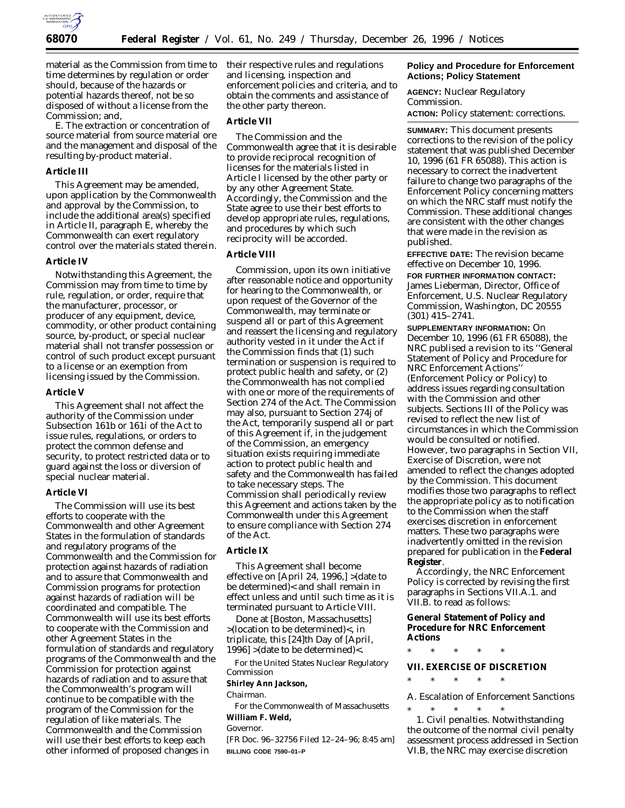

material as the Commission from time to time determines by regulation or order should, because of the hazards or potential hazards thereof, not be so disposed of without a license from the Commission; and,

E. The extraction or concentration of source material from source material ore and the management and disposal of the resulting by-product material.

#### **Article III**

This Agreement may be amended, upon application by the Commonwealth and approval by the Commission, to include the additional area(s) specified in Article II, paragraph E, whereby the Commonwealth can exert regulatory control over the materials stated therein.

#### **Article IV**

Notwithstanding this Agreement, the Commission may from time to time by rule, regulation, or order, require that the manufacturer, processor, or producer of any equipment, device, commodity, or other product containing source, by-product, or special nuclear material shall not transfer possession or control of such product except pursuant to a license or an exemption from licensing issued by the Commission.

#### **Article V**

This Agreement shall not affect the authority of the Commission under Subsection 161b or 161i of the Act to issue rules, regulations, or orders to protect the common defense and security, to protect restricted data or to guard against the loss or diversion of special nuclear material.

#### **Article VI**

The Commission will use its best efforts to cooperate with the Commonwealth and other Agreement States in the formulation of standards and regulatory programs of the Commonwealth and the Commission for protection against hazards of radiation and to assure that Commonwealth and Commission programs for protection against hazards of radiation will be coordinated and compatible. The Commonwealth will use its best efforts to cooperate with the Commission and other Agreement States in the formulation of standards and regulatory programs of the Commonwealth and the Commission for protection against hazards of radiation and to assure that the Commonwealth's program will continue to be compatible with the program of the Commission for the regulation of like materials. The Commonwealth and the Commission will use their best efforts to keep each other informed of proposed changes in

their respective rules and regulations and licensing, inspection and enforcement policies and criteria, and to obtain the comments and assistance of the other party thereon.

## **Article VII**

The Commission and the Commonwealth agree that it is desirable to provide reciprocal recognition of licenses for the materials listed in Article I licensed by the other party or by any other Agreement State. Accordingly, the Commission and the State agree to use their best efforts to develop appropriate rules, regulations, and procedures by which such reciprocity will be accorded.

#### **Article VIII**

Commission, upon its own initiative after reasonable notice and opportunity for hearing to the Commonwealth, or upon request of the Governor of the Commonwealth, may terminate or suspend all or part of this Agreement and reassert the licensing and regulatory authority vested in it under the Act if the Commission finds that (1) such termination or suspension is required to protect public health and safety, or (2) the Commonwealth has not complied with one or more of the requirements of Section 274 of the Act. The Commission may also, pursuant to Section 274j of the Act, temporarily suspend all or part of this Agreement if, in the judgement of the Commission, an emergency situation exists requiring immediate action to protect public health and safety and the Commonwealth has failed to take necessary steps. The Commission shall periodically review this Agreement and actions taken by the Commonwealth under this Agreement to ensure compliance with Section 274 of the Act.

## **Article IX**

This Agreement shall become effective on [April 24, 1996,] >(date to be determined)< and shall remain in effect unless and until such time as it is terminated pursuant to Article VIII.

Done at [Boston, Massachusetts] >(location to be determined)<, in triplicate, this [24]th Day of [April,  $1996$  >(date to be determined)<.

For the United States Nuclear Regulatory Commission

**Shirley Ann Jackson,**

*Chairman.*

For the Commonwealth of Massachusetts **William F. Weld,**

#### *Governor.*

[FR Doc. 96–32756 Filed 12–24–96; 8:45 am] **BILLING CODE 7590–01–P**

### **Policy and Procedure for Enforcement Actions; Policy Statement**

**AGENCY:** Nuclear Regulatory Commission.

**ACTION:** Policy statement: corrections.

**SUMMARY:** This document presents corrections to the revision of the policy statement that was published December 10, 1996 (61 FR 65088). This action is necessary to correct the inadvertent failure to change two paragraphs of the Enforcement Policy concerning matters on which the NRC staff must notify the Commission. These additional changes are consistent with the other changes that were made in the revision as published.

**EFFECTIVE DATE:** The revision became effective on December 10, 1996.

**FOR FURTHER INFORMATION CONTACT:** James Lieberman, Director, Office of Enforcement, U.S. Nuclear Regulatory Commission, Washington, DC 20555 (301) 415–2741.

**SUPPLEMENTARY INFORMATION:** On December 10, 1996 (61 FR 65088), the NRC publised a revision to its ''General Statement of Policy and Procedure for NRC Enforcement Actions'' (Enforcement Policy or Policy) to address issues regarding consultation with the Commission and other subjects. Sections III of the Policy was revised to reflect the new list of circumstances in which the Commission would be consulted or notified. However, two paragraphs in Section VII, Exercise of Discretion, were not amended to reflect the changes adopted by the Commission. This document modifies those two paragraphs to reflect the appropriate policy as to notification to the Commission when the staff exercises discretion in enforcement matters. These two paragraphs were inadvertently omitted in the revision prepared for publication in the **Federal Register**.

Accordingly, the NRC Enforcement Policy is corrected by revising the first paragraphs in Sections VII.A.1. and VII.B. to read as follows:

**General Statement of Policy and Procedure for NRC Enforcement Actions**

\* \* \* \* \*

**VII. EXERCISE OF DISCRETION**

\* \* \* \* \*

*A. Escalation of Enforcement Sanctions* \* \* \* \* \*

*1. Civil penalties*. Notwithstanding the outcome of the normal civil penalty assessment process addressed in Section VI.B, the NRC may exercise discretion